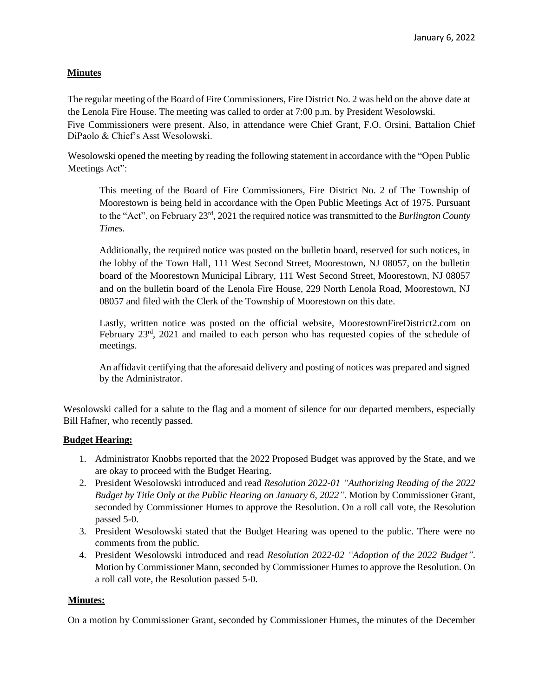## **Minutes**

The regular meeting of the Board of Fire Commissioners, Fire District No. 2 was held on the above date at the Lenola Fire House. The meeting was called to order at 7:00 p.m. by President Wesolowski. Five Commissioners were present. Also, in attendance were Chief Grant, F.O. Orsini, Battalion Chief DiPaolo & Chief's Asst Wesolowski.

Wesolowski opened the meeting by reading the following statement in accordance with the "Open Public Meetings Act":

This meeting of the Board of Fire Commissioners, Fire District No. 2 of The Township of Moorestown is being held in accordance with the Open Public Meetings Act of 1975. Pursuant to the "Act", on February 23rd , 2021 the required notice was transmitted to the *Burlington County Times.*

Additionally, the required notice was posted on the bulletin board, reserved for such notices, in the lobby of the Town Hall, 111 West Second Street, Moorestown, NJ 08057, on the bulletin board of the Moorestown Municipal Library, 111 West Second Street, Moorestown, NJ 08057 and on the bulletin board of the Lenola Fire House, 229 North Lenola Road, Moorestown, NJ 08057 and filed with the Clerk of the Township of Moorestown on this date.

Lastly, written notice was posted on the official website, MoorestownFireDistrict2.com on February 23<sup>rd</sup>, 2021 and mailed to each person who has requested copies of the schedule of meetings.

An affidavit certifying that the aforesaid delivery and posting of notices was prepared and signed by the Administrator.

Wesolowski called for a salute to the flag and a moment of silence for our departed members, especially Bill Hafner, who recently passed.

## **Budget Hearing:**

- 1. Administrator Knobbs reported that the 2022 Proposed Budget was approved by the State, and we are okay to proceed with the Budget Hearing.
- 2. President Wesolowski introduced and read *Resolution 2022-01 "Authorizing Reading of the 2022 Budget by Title Only at the Public Hearing on January 6, 2022"*. Motion by Commissioner Grant, seconded by Commissioner Humes to approve the Resolution. On a roll call vote, the Resolution passed 5-0.
- 3. President Wesolowski stated that the Budget Hearing was opened to the public. There were no comments from the public.
- 4. President Wesolowski introduced and read *Resolution 2022-02 "Adoption of the 2022 Budget"*. Motion by Commissioner Mann, seconded by Commissioner Humes to approve the Resolution. On a roll call vote, the Resolution passed 5-0.

## **Minutes:**

On a motion by Commissioner Grant, seconded by Commissioner Humes, the minutes of the December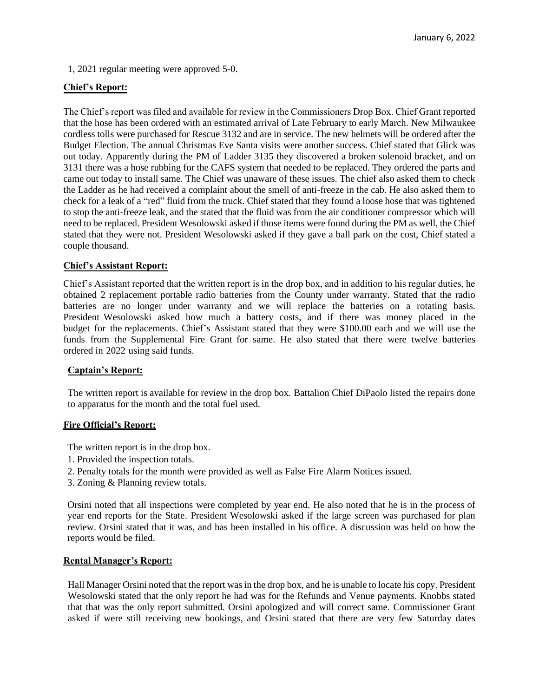1, 2021 regular meeting were approved 5-0.

## **Chief's Report:**

The Chief's report was filed and available for review in the Commissioners Drop Box. Chief Grant reported that the hose has been ordered with an estimated arrival of Late February to early March. New Milwaukee cordless tolls were purchased for Rescue 3132 and are in service. The new helmets will be ordered after the Budget Election. The annual Christmas Eve Santa visits were another success. Chief stated that Glick was out today. Apparently during the PM of Ladder 3135 they discovered a broken solenoid bracket, and on 3131 there was a hose rubbing for the CAFS system that needed to be replaced. They ordered the parts and came out today to install same. The Chief was unaware of these issues. The chief also asked them to check the Ladder as he had received a complaint about the smell of anti-freeze in the cab. He also asked them to check for a leak of a "red" fluid from the truck. Chief stated that they found a loose hose that was tightened to stop the anti-freeze leak, and the stated that the fluid was from the air conditioner compressor which will need to be replaced. President Wesolowski asked if those items were found during the PM as well, the Chief stated that they were not. President Wesolowski asked if they gave a ball park on the cost, Chief stated a couple thousand.

## **Chief's Assistant Report:**

Chief's Assistant reported that the written report is in the drop box, and in addition to his regular duties, he obtained 2 replacement portable radio batteries from the County under warranty. Stated that the radio batteries are no longer under warranty and we will replace the batteries on a rotating basis. President Wesolowski asked how much a battery costs, and if there was money placed in the budget for the replacements. Chief's Assistant stated that they were \$100.00 each and we will use the funds from the Supplemental Fire Grant for same. He also stated that there were twelve batteries ordered in 2022 using said funds.

## **Captain's Report:**

The written report is available for review in the drop box. Battalion Chief DiPaolo listed the repairs done to apparatus for the month and the total fuel used.

#### **Fire Official's Report:**

The written report is in the drop box.

- 1. Provided the inspection totals.
- 2. Penalty totals for the month were provided as well as False Fire Alarm Notices issued.
- 3. Zoning & Planning review totals.

Orsini noted that all inspections were completed by year end. He also noted that he is in the process of year end reports for the State. President Wesolowski asked if the large screen was purchased for plan review. Orsini stated that it was, and has been installed in his office. A discussion was held on how the reports would be filed.

#### **Rental Manager's Report:**

Hall Manager Orsini noted that the report was in the drop box, and he is unable to locate his copy. President Wesolowski stated that the only report he had was for the Refunds and Venue payments. Knobbs stated that that was the only report submitted. Orsini apologized and will correct same. Commissioner Grant asked if were still receiving new bookings, and Orsini stated that there are very few Saturday dates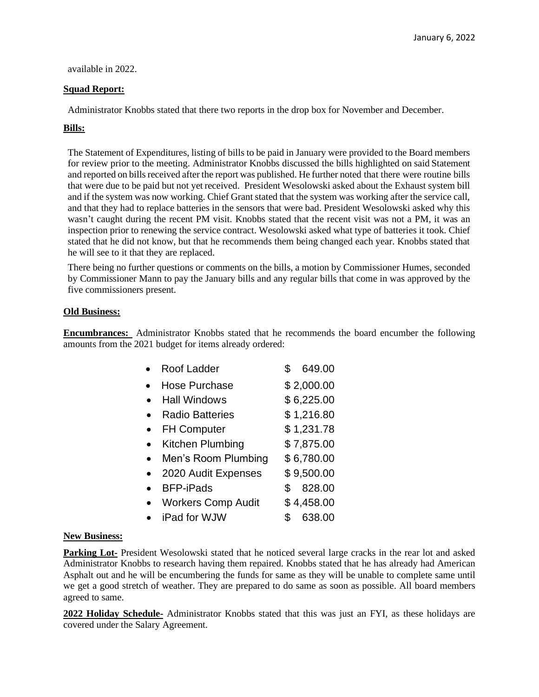available in 2022.

## **Squad Report:**

Administrator Knobbs stated that there two reports in the drop box for November and December.

# **Bills:**

The Statement of Expenditures, listing of bills to be paid in January were provided to the Board members for review prior to the meeting. Administrator Knobbs discussed the bills highlighted on said Statement and reported on bills received after the report was published. He further noted that there were routine bills that were due to be paid but not yet received. President Wesolowski asked about the Exhaust system bill and if the system was now working. Chief Grant stated that the system was working after the service call, and that they had to replace batteries in the sensors that were bad. President Wesolowski asked why this wasn't caught during the recent PM visit. Knobbs stated that the recent visit was not a PM, it was an inspection prior to renewing the service contract. Wesolowski asked what type of batteries it took. Chief stated that he did not know, but that he recommends them being changed each year. Knobbs stated that he will see to it that they are replaced.

There being no further questions or comments on the bills, a motion by Commissioner Humes, seconded by Commissioner Mann to pay the January bills and any regular bills that come in was approved by the five commissioners present.

## **Old Business:**

**Encumbrances:** Administrator Knobbs stated that he recommends the board encumber the following amounts from the 2021 budget for items already ordered:

| Roof Ladder               |   | 649.00     |
|---------------------------|---|------------|
| <b>Hose Purchase</b>      |   | \$2,000.00 |
| <b>Hall Windows</b>       |   | \$6,225.00 |
| <b>Radio Batteries</b>    |   | \$1,216.80 |
| <b>FH Computer</b>        |   | \$1,231.78 |
| Kitchen Plumbing          |   | \$7,875.00 |
| Men's Room Plumbing       |   | \$6,780.00 |
| 2020 Audit Expenses       |   | \$9,500.00 |
| <b>BFP-iPads</b>          | S | 828.00     |
| <b>Workers Comp Audit</b> |   | \$4,458.00 |
| iPad for WJW              |   | 638.00     |

## **New Business:**

**Parking Lot-** President Wesolowski stated that he noticed several large cracks in the rear lot and asked Administrator Knobbs to research having them repaired. Knobbs stated that he has already had American Asphalt out and he will be encumbering the funds for same as they will be unable to complete same until we get a good stretch of weather. They are prepared to do same as soon as possible. All board members agreed to same.

**2022 Holiday Schedule-** Administrator Knobbs stated that this was just an FYI, as these holidays are covered under the Salary Agreement.